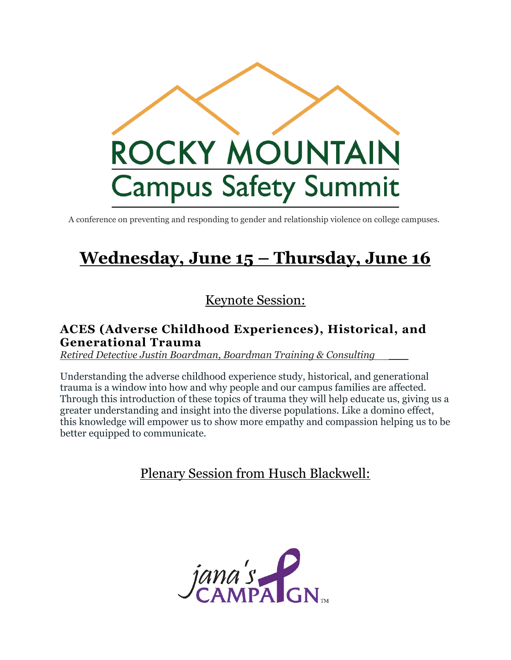

A conference on preventing and responding to gender and relationship violence on college campuses.

# **Wednesday, June 15 – Thursday, June 16**

### Keynote Session:

### **ACES (Adverse Childhood Experiences), Historical, and Generational Trauma**

*Retired Detective Justin Boardman, Boardman Training & Consulting \_\_\_*

Understanding the adverse childhood experience study, historical, and generational trauma is a window into how and why people and our campus families are affected. Through this introduction of these topics of trauma they will help educate us, giving us a greater understanding and insight into the diverse populations. Like a domino effect, this knowledge will empower us to show more empathy and compassion helping us to be better equipped to communicate.

### Plenary Session from Husch Blackwell:

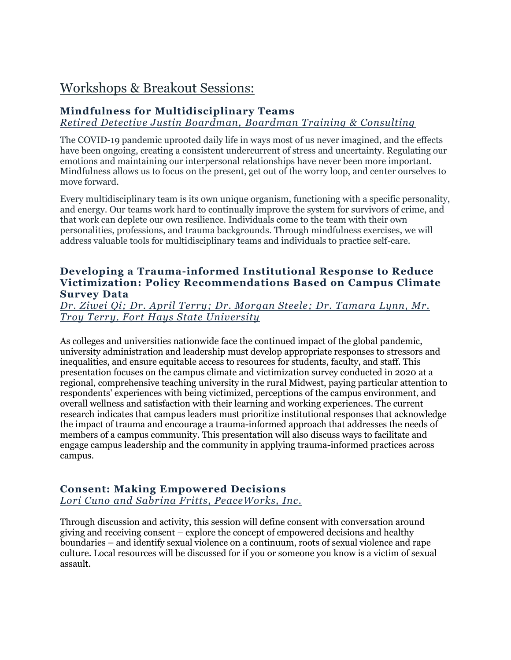### Workshops & Breakout Sessions:

#### **Mindfulness for Multidisciplinary Teams**

*Retired Detective Justin Boardman, Boardman Training & Consulting*

The COVID-19 pandemic uprooted daily life in ways most of us never imagined, and the effects have been ongoing, creating a consistent undercurrent of stress and uncertainty. Regulating our emotions and maintaining our interpersonal relationships have never been more important. Mindfulness allows us to focus on the present, get out of the worry loop, and center ourselves to move forward.

Every multidisciplinary team is its own unique organism, functioning with a specific personality, and energy. Our teams work hard to continually improve the system for survivors of crime, and that work can deplete our own resilience. Individuals come to the team with their own personalities, professions, and trauma backgrounds. Through mindfulness exercises, we will address valuable tools for multidisciplinary teams and individuals to practice self-care.

#### **Developing a Trauma-informed Institutional Response to Reduce Victimization: Policy Recommendations Based on Campus Climate Survey Data**

#### *Dr. Ziwei Qi; Dr. April Terry; Dr. Morgan Steele; Dr. Tamara Lynn, Mr. Troy Terry, Fort Hays State University*

As colleges and universities nationwide face the continued impact of the global pandemic, university administration and leadership must develop appropriate responses to stressors and inequalities, and ensure equitable access to resources for students, faculty, and staff. This presentation focuses on the campus climate and victimization survey conducted in 2020 at a regional, comprehensive teaching university in the rural Midwest, paying particular attention to respondents' experiences with being victimized, perceptions of the campus environment, and overall wellness and satisfaction with their learning and working experiences. The current research indicates that campus leaders must prioritize institutional responses that acknowledge the impact of trauma and encourage a trauma-informed approach that addresses the needs of members of a campus community. This presentation will also discuss ways to facilitate and engage campus leadership and the community in applying trauma-informed practices across campus.

#### **Consent: Making Empowered Decisions**

*Lori Cuno and Sabrina Fritts, PeaceWorks, Inc.*

Through discussion and activity, this session will define consent with conversation around giving and receiving consent – explore the concept of empowered decisions and healthy boundaries – and identify sexual violence on a continuum, roots of sexual violence and rape culture. Local resources will be discussed for if you or someone you know is a victim of sexual assault.